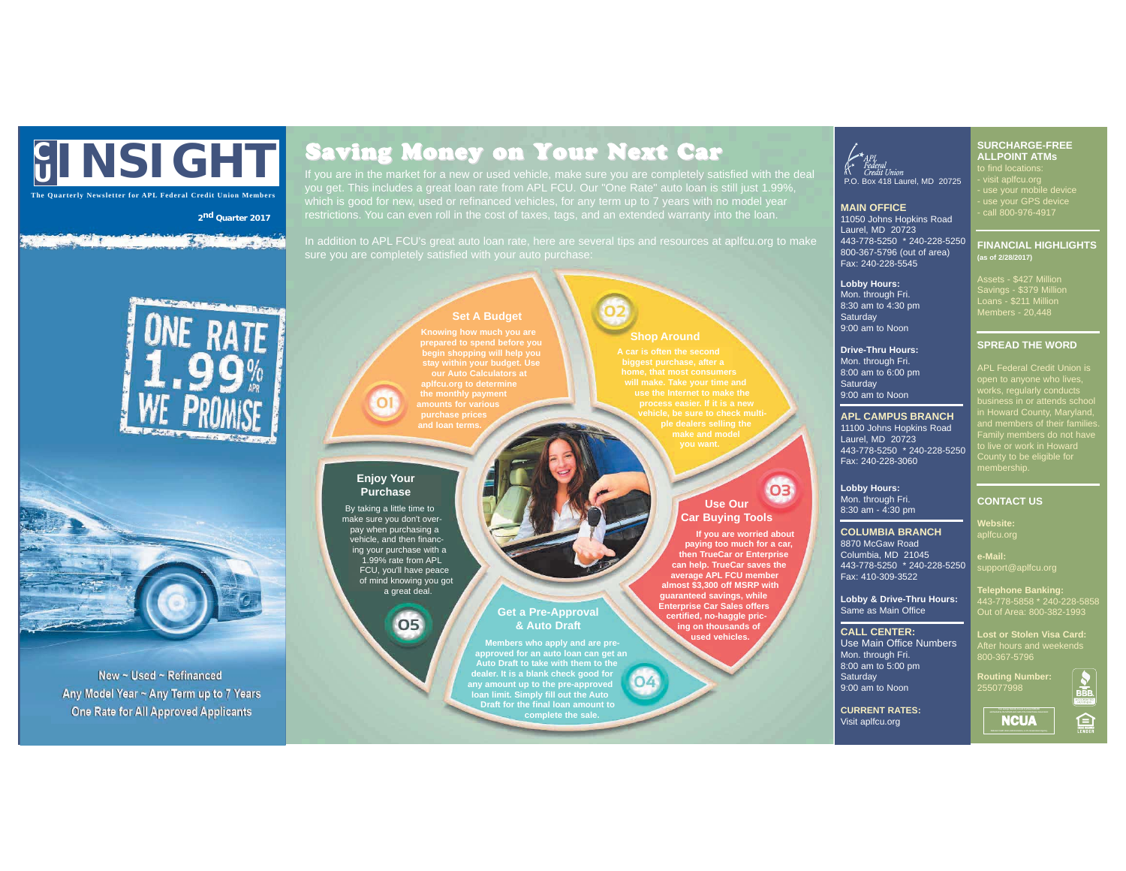# **C <sup>U</sup> INSIGHT**

**The Quarterly Newsletter for APL Federal Credit Union Members**

**2nd Quarter 2017**

#### i stil pau **The Company's**



New ~ Used ~ Refinanced Any Model Year ~ Any Term up to 7 Years One Rate for All Approved Applicants

# Saving Money on Your Next Car

If you are in the market for a new or used vehicle, make sure you are completely satisfied with the deal (A Credit Union<br>vou get. This includes a great loan rate from APL FCU. Our "One Rate" auto loan is still just 1.99%.

In addition to APL FCU's great auto loan rate, here are several tips and resources at aplfcu.org to make

**hop Around** 

**A car is often the second**

**will make. Take your time and use the Internet to make the**

**Use Our Car Buying Tools**

**If you are worried about paying too much for a car, then TrueCar or Enterprise can help. TrueCar saves the average APL FCU member almost \$3,300 off MSRP with guaranteed savings, while Enterprise Car Sales offers certified, no-haggle pric-ing on thousands of used vehicles.**

03

## **Set A Budget**

**prepared to spend before you begin shopping will help you stay within your budget. Use our Auto Calculators at aplfcu.org to determine the monthly payment amounts for various purchase prices and loan terms.**

### **Enjoy Your Purchase**

By taking a little time to make sure you don't overpay when purchasing a vehicle, and then financing your purchase with a 1.99% rate from APL FCU, you'll have peace of mind knowing you got a great deal.

## 05

**Members who apply and are pre-approved for an auto loan can get an Auto Draft to take with them to the dealer. It is a blank check good for any amount up to the pre-approved loan limit. Simply fill out the Auto Draft for the final loan amount to complete the sale.**

**Get a Pre-Approval & Auto Draft**

**MAIN OFFICE** 11050 Johns Hopkins Road  $L$ aurel, MD  $20723$ 443-778-5250 \* 240-228-5250 800-367-5796 (out of area) Fax: 240-228-5545

**Lobby Hours:**  Mon. through Fri. 8:30 am to 4:30 pm **Saturday** 9:00 am to Noon

**Drive-Thru Hours:** Mon. through Fri. 8:00 am to 6:00 pm Saturday 9:00 am to Noon

#### **APL CAMPUS BRANCH** 11100 Johns Hopkins Road

Laurel, MD 20723 443-778-5250 \* 240-228-5250 Fax: 240-228-3060

**Lobby Hours:** Mon. through Fri. 8:30 am - 4:30 pm

**COLUMBIA BRANCH** 8870 McGaw Road

Columbia, MD 21045

Fax: 410-309-3522

Same as Main Office **CALL CENTER:** Use Main Office Numbers Mon. through Fri. 8:00 am to 5:00 pm **Saturday** 9:00 am to Noon **CURRENT RATES:** Visit aplfcu.org

**e-Mail:**

443-778-5858 \* 240-228-5858 Out of Area: 800-382-1993

**Lost or Stolen Visa Card:** 800-367-5796

**Routing Number:** 255077998

**NCUA** 



- visit aplfcu.org - use your mobile device - use your GPS device - call 800-976-4917 **FINANCIAL HIGHLIGHTS** 

> **(as of 2/28/2017)** Assets - \$427 Million Savings - \$379 Million Loans - \$211 Million

**SURCHARGE-FREE ALLPOINT ATMs** r find locations)<br>visit anlfcu orc

Members - 20,448

#### **SPREAD THE WORD**

APL Federal Credit Union is works, regularly conducts business in or attends school in Howard County, Maryland, and members of their families. Family members do not have to live or work in Howard County to be eligible for *poarity*<br>membership.

#### **CONTACT US**

#### **Website:** aplfcu.org

443-778-5250 \* 240-228-5250

**Lobby & Drive-Thru Hours: Telephone Banking:**